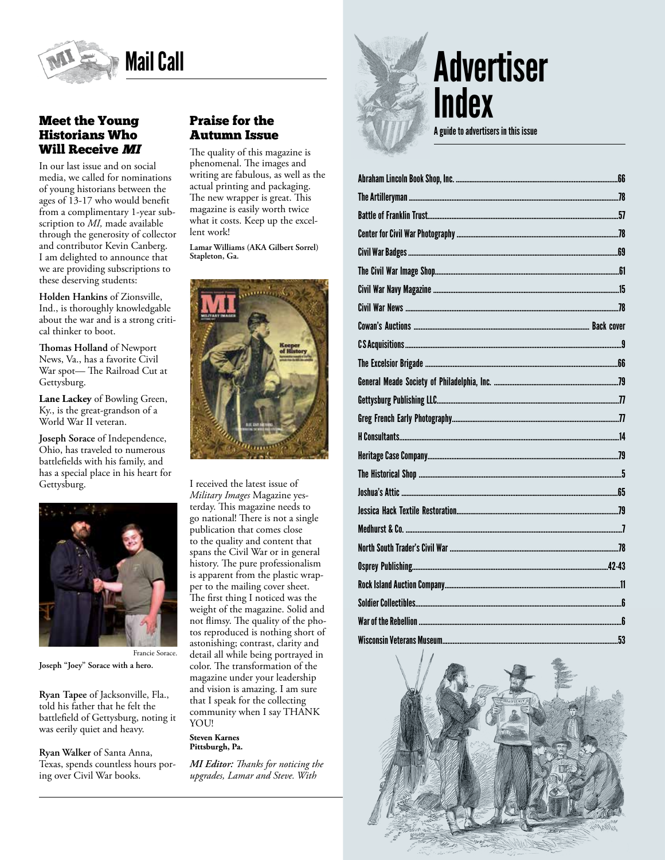

#### Meet the Young Historians Who Will Receive MI

In our last issue and on social media, we called for nominations of young historians between the ages of 13-17 who would benefit from a complimentary 1-year subscription to *MI,* made available through the generosity of collector and contributor Kevin Canberg. I am delighted to announce that we are providing subscriptions to these deserving students:

**Holden Hankins** of Zionsville, Ind., is thoroughly knowledgable about the war and is a strong critical thinker to boot.

**Thomas Holland** of Newport News, Va., has a favorite Civil War spot— The Railroad Cut at Gettysburg.

**Lane Lackey** of Bowling Green, Ky., is the great-grandson of a World War II veteran.

**Joseph Sorace** of Independence, Ohio, has traveled to numerous battlefields with his family, and has a special place in his heart for Gettysburg.



**Joseph "Joey" Sorace with a hero.**

**Ryan Tapee** of Jacksonville, Fla., told his father that he felt the battlefield of Gettysburg, noting it was eerily quiet and heavy.

**Ryan Walker** of Santa Anna, Texas, spends countless hours poring over Civil War books.

#### Praise for the Autumn Issue

The quality of this magazine is phenomenal. The images and writing are fabulous, as well as the actual printing and packaging. The new wrapper is great. This magazine is easily worth twice what it costs. Keep up the excellent work!

**Lamar Williams (AKA Gilbert Sorrel) Stapleton, Ga.**



I received the latest issue of *Military Images* Magazine yesterday. This magazine needs to go national! There is not a single publication that comes close to the quality and content that spans the Civil War or in general history. The pure professionalism is apparent from the plastic wrapper to the mailing cover sheet. The first thing I noticed was the weight of the magazine. Solid and not flimsy. The quality of the photos reproduced is nothing short of astonishing; contrast, clarity and detail all while being portrayed in color. The transformation of the magazine under your leadership and vision is amazing. I am sure that I speak for the collecting community when I say THANK YOU!

#### **Steven Karnes Pittsburgh, Pa.**

*MI Editor: Thanks for noticing the upgrades, Lamar and Steve. With* 



# Mail Call **Mail Call** Index

A guide to advertisers in this issue